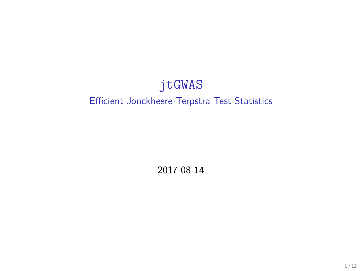#### jtGWAS Efficient Jonckheere-Terpstra Test Statistics

2017-08-14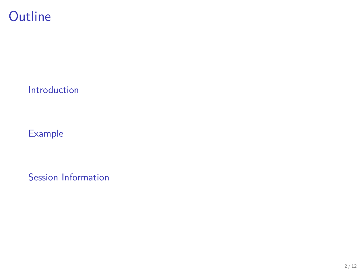### **Outline**

[Introduction](#page-2-0)

[Example](#page-5-0)

[Session Information](#page-11-0)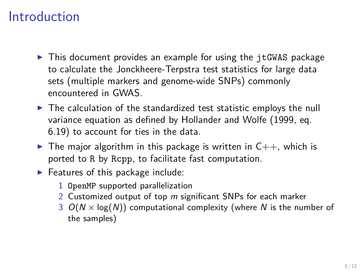# <span id="page-2-0"></span>Introduction

- $\triangleright$  This document provides an example for using the jtGWAS package to calculate the Jonckheere-Terpstra test statistics for large data sets (multiple markers and genome-wide SNPs) commonly encountered in GWAS.
- $\triangleright$  The calculation of the standardized test statistic employs the null variance equation as defined by Hollander and Wolfe (1999, eq. 6.19) to account for ties in the data.
- $\triangleright$  The major algorithm in this package is written in  $C_{++}$ , which is ported to R by Rcpp, to facilitate fast computation.
- $\blacktriangleright$  Features of this package include:
	- 1 OpenMP supported parallelization
	- 2 Customized output of top m significant SNPs for each marker
	- 3  $O(N \times \log(N))$  computational complexity (where N is the number of the samples)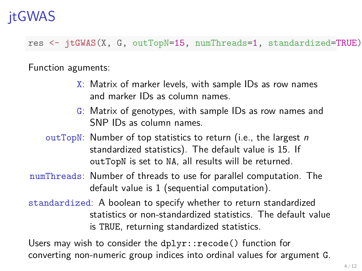# jtGWAS

res <- **jtGWAS**(X, G, outTopN=15, numThreads=1, standardized=TRUE)

Function aguments:

- X: Matrix of marker levels, with sample IDs as row names and marker IDs as column names.
- G: Matrix of genotypes, with sample IDs as row names and SNP IDs as column names.
- outTopN: Number of top statistics to return (i.e., the largest  $n$ standardized statistics). The default value is 15. If outTopN is set to NA, all results will be returned.
- numThreads: Number of threads to use for parallel computation. The default value is 1 (sequential computation).
- standardized: A boolean to specify whether to return standardized statistics or non-standardized statistics. The default value is TRUE, returning standardized statistics.

Users may wish to consider the dplyr::recode() function for converting non-numeric group indices into ordinal values for argument G.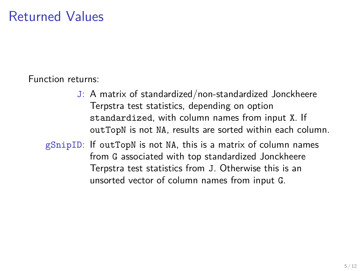# Returned Values

Function returns:

- J: A matrix of standardized/non-standardized Jonckheere Terpstra test statistics, depending on option standardized, with column names from input X. If outTopN is not NA, results are sorted within each column.
- gSnipID: If outTopN is not NA, this is a matrix of column names from G associated with top standardized Jonckheere Terpstra test statistics from J. Otherwise this is an unsorted vector of column names from input G.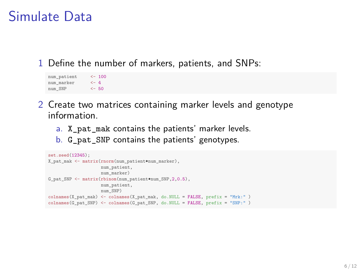### <span id="page-5-0"></span>Simulate Data

1 Define the number of markers, patients, and SNPs:

```
num_patient <- 100
num marker <- 4
num_SNP <- 50
```
- 2 Create two matrices containing marker levels and genotype information.
	- a. X\_pat\_mak contains the patients' marker levels.
	- b. G\_pat\_SNP contains the patients' genotypes.

```
set.seed(12345);
X_pat_mak <- matrix(rnorm(num_patient*num_marker),
                    num_patient,
                    num_marker)
G_pat_SNP <- matrix(rbinom(num_patient*num_SNP,2,0.5),
                    num_patient,
                    num_SNP)
colnames(X_pat_mak) <- colnames(X_pat_mak, do.NULL = FALSE, prefix = "Mrk:" )
colnames(G_pat_SNP) <- colnames(G_pat_SNP, do.NULL = FALSE, prefix = "SNP:" )
```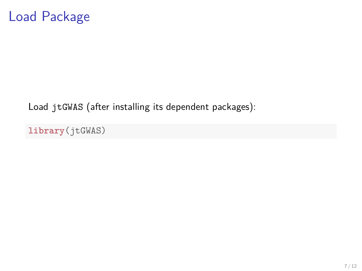

Load jtGWAS (after installing its dependent packages):

**library**(jtGWAS)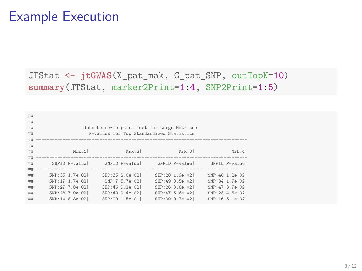### Example Execution

JTStat <- **jtGWAS**(X\_pat\_mak, G\_pat\_SNP, outTopN=10) **summary**(JTStat, marker2Print=1:4, SNP2Print=1:5)

| ##<br>##<br>##<br>## |                                    | Johckheere-Terpstra Test for Large Matrices<br>P-values for Top Standardized Statistics |                                    |                                    |                                     |
|----------------------|------------------------------------|-----------------------------------------------------------------------------------------|------------------------------------|------------------------------------|-------------------------------------|
| ##                   |                                    |                                                                                         |                                    |                                    |                                     |
| ##<br>##             |                                    |                                                                                         | Mrk:2                              | Mrk:31                             | Mrk:4                               |
| ##                   | Mrk:1                              |                                                                                         |                                    |                                    |                                     |
| ##                   | SNPID P-value                      |                                                                                         | SNPID P-value                      | SNPID P-value                      | SNPID P-value                       |
| ##<br>##             | SNP:35 1.7e-021                    |                                                                                         | SNP:35 2.0e-02                     | SNP:20 1.9e-021                    | SNP:46 1.2e-021                     |
| ##                   | SNP:17 1.7e-021                    |                                                                                         | SNP:7 5.7e-021                     | SNP:49 3.5e-021                    | SNP:34 1.7e-021                     |
| ##<br>##             | SNP:27 7.0e-021<br>SNP:28 7.0e-021 |                                                                                         | SNP:46 9.1e-021<br>SNP:40 9.4e-021 | SNP:26 3.8e-021<br>SNP:47 5.6e-021 | SNP: 47 3.7e-021<br>SNP:23 4.5e-021 |
| ##                   | SNP:14 8.8e-021                    |                                                                                         | SNP:29 1.5e-01                     | SNP:30 9.7e-021                    | SNP:16 5.1e-021                     |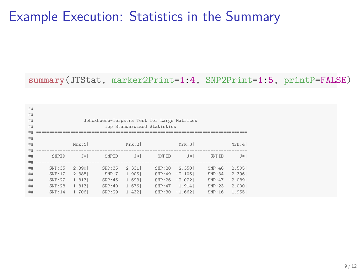# Example Execution: Statistics in the Summary

**summary**(JTStat, marker2Print=1:4, SNP2Print=1:5, printP=FALSE)

| ## |        |           |                                             |          |                             |               |        |           |
|----|--------|-----------|---------------------------------------------|----------|-----------------------------|---------------|--------|-----------|
| ## |        |           |                                             |          |                             |               |        |           |
| ## |        |           | Johckheere-Terpstra Test for Large Matrices |          |                             |               |        |           |
| ## |        |           |                                             |          | Top Standardized Statistics |               |        |           |
| ## |        |           |                                             |          |                             |               |        |           |
| ## |        |           |                                             |          |                             |               |        |           |
| ## |        | Mrk:1     |                                             | Mrk:21   |                             | Mrk:31        |        | Mrk:4     |
|    |        |           |                                             |          |                             |               |        |           |
| ## |        |           |                                             |          |                             |               |        |           |
| ## | SNPTD  | $J*1$     | SNPTD                                       | $J*1$    | SNPTD                       | $J*1$         | SNPTD  | $J*$      |
| ## |        |           |                                             |          |                             |               |        |           |
| ## | SNP:35 | $-2.3901$ | SNP:35                                      | $-2.331$ | SNP:20                      | 2.350         | SNP:46 | 2.505     |
| ## | SNP:17 | $-2.3881$ | SNP:7                                       | 1.905    | SNP:49                      | $-2.106$      | SNP:34 | 2.396     |
| ## | SNP:27 | $-1.813$  | SNP:46                                      | 1.693    | SNP:26                      | $-2.072$      | SNP:47 | $-2.0891$ |
| ## | SNP:28 | 1.813     | SNP:40                                      | 1.676    |                             | SNP: 47 1.914 | SNP:23 | 2,000     |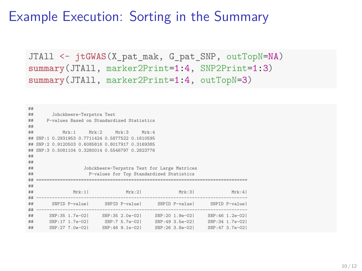# Example Execution: Sorting in the Summary

JTAll <- jtGWAS(X pat mak, G pat SNP, outTopN=NA) **summary**(JTAll, marker2Print=1:4, SNP2Print=1:3) **summary**(JTAll, marker2Print=1:4, outTopN=3)

```
##
## Johckheere-Terpstra Test
      D-values Based on Standardized Statistics
##
## Mrk:1 Mrk:2 Mrk:3 Mrk:4
## SNP:1 0.2931953 0.7711424 0.5877522 0.1610595
## SNP:2 0.9120503 0.6085816 0.8017917 0.3169385
## SNP:3 0.5081104 0.3280014 0.5546797 0.2823776
##
##
                   Johckheere-Terpstra Test for Large Matrices
## P-values for Top Standardized Statistics
           ## ================================================================================
##
## Mrk:1| Mrk:2| Mrk:3| Mrk:4|
   ## --------------------------------------------------------------------------------
## SNPID P-value| SNPID P-value| SNPID P-value| SNPID P-value|
   ## --------------------------------------------------------------------------------
## SNP:35 1.7e-02| SNP:35 2.0e-02| SNP:20 1.9e-02| SNP:46 1.2e-02|
                        SNP:7 5.7e-02|
## SNP:27 7.0e-02| SNP:46 9.1e-02| SNP:26 3.8e-02| SNP:47 3.7e-02|
```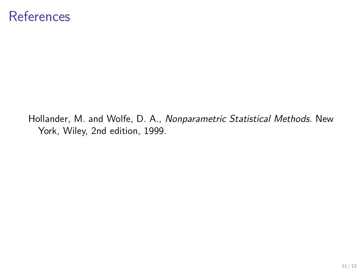#### **References**

Hollander, M. and Wolfe, D. A., Nonparametric Statistical Methods. New York, Wiley, 2nd edition, 1999.